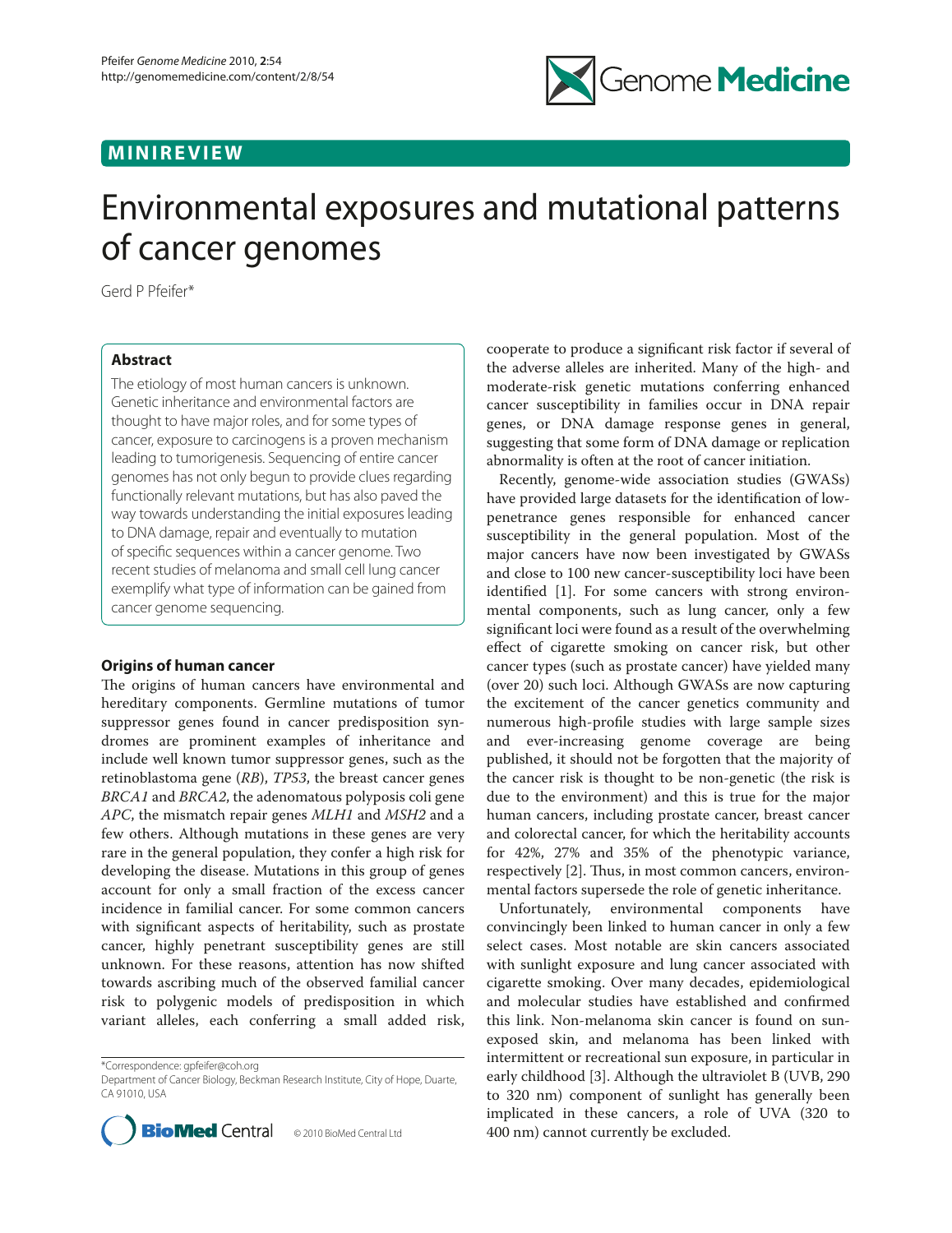# **MINIREVIEW**



# Environmental exposures and mutational patterns of cancer genomes

Gerd P Pfeifer\*

# **Abstract**

The etiology of most human cancers is unknown. Genetic inheritance and environmental factors are thought to have major roles, and for some types of cancer, exposure to carcinogens is a proven mechanism leading to tumorigenesis. Sequencing of entire cancer genomes has not only begun to provide clues regarding functionally relevant mutations, but has also paved the way towards understanding the initial exposures leading to DNA damage, repair and eventually to mutation of specific sequences within a cancer genome. Two recent studies of melanoma and small cell lung cancer exemplify what type of information can be gained from cancer genome sequencing.

# **Origins of human cancer**

The origins of human cancers have environmental and hereditary components. Germline mutations of tumor suppressor genes found in cancer predisposition syndromes are prominent examples of inheritance and include well known tumor suppressor genes, such as the retinoblastoma gene (*RB*), *TP53*, the breast cancer genes *BRCA1* and *BRCA2*, the adenomatous polyposis coli gene *APC*, the mismatch repair genes *MLH1* and *MSH2* and a few others. Although mutations in these genes are very rare in the general population, they confer a high risk for developing the disease. Mutations in this group of genes account for only a small fraction of the excess cancer incidence in familial cancer. For some common cancers with significant aspects of heritability, such as prostate cancer, highly penetrant susceptibility genes are still unknown. For these reasons, attention has now shifted towards ascribing much of the observed familial cancer risk to polygenic models of predisposition in which variant alleles, each conferring a small added risk,

\*Correspondence: gpfeifer@coh.org

Department of Cancer Biology, Beckman Research Institute, City of Hope, Duarte, CA 91010, USA



cooperate to produce a significant risk factor if several of the adverse alleles are inherited. Many of the high- and moderate-risk genetic mutations conferring enhanced cancer susceptibility in families occur in DNA repair genes, or DNA damage response genes in general, suggesting that some form of DNA damage or replication abnormality is often at the root of cancer initiation.

Recently, genome-wide association studies (GWASs) have provided large datasets for the identification of lowpenetrance genes responsible for enhanced cancer susceptibility in the general population. Most of the major cancers have now been investigated by GWASs and close to 100 new cancer-susceptibility loci have been identified [1]. For some cancers with strong environmental components, such as lung cancer, only a few significant loci were found as a result of the overwhelming effect of cigarette smoking on cancer risk, but other cancer types (such as prostate cancer) have yielded many (over 20) such loci. Although GWASs are now capturing the excitement of the cancer genetics community and numerous high-profile studies with large sample sizes and ever-increasing genome coverage are being published, it should not be forgotten that the majority of the cancer risk is thought to be non-genetic (the risk is due to the environment) and this is true for the major human cancers, including prostate cancer, breast cancer and colorectal cancer, for which the heritability accounts for 42%, 27% and 35% of the phenotypic variance, respectively [2]. Thus, in most common cancers, environmental factors supersede the role of genetic inheritance.

Unfortunately, environmental components have convincingly been linked to human cancer in only a few select cases. Most notable are skin cancers associated with sunlight exposure and lung cancer associated with cigarette smoking. Over many decades, epidemiological and molecular studies have established and confirmed this link. Non-melanoma skin cancer is found on sunexposed skin, and melanoma has been linked with intermittent or recreational sun exposure, in particular in early childhood [3]. Although the ultraviolet B (UVB, 290 to 320 nm) component of sunlight has generally been implicated in these cancers, a role of UVA (320 to 400 nm) cannot currently be excluded.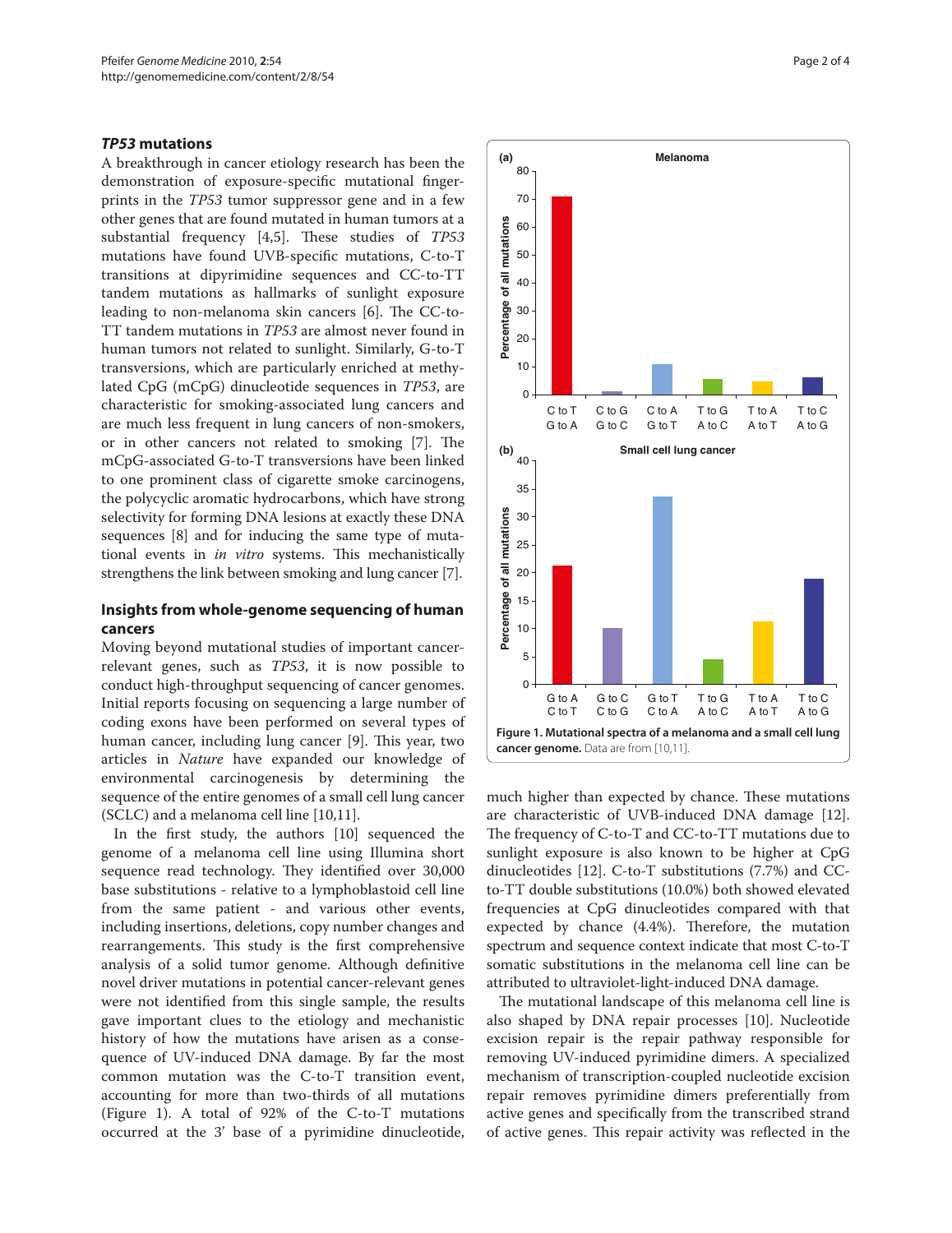## *TP53* **mutations**

A breakthrough in cancer etiology research has been the demonstration of exposure-specific mutational fingerprints in the *TP53* tumor suppressor gene and in a few other genes that are found mutated in human tumors at a substantial frequency [4,5]. These studies of *TP53* mutations have found UVB-specific mutations, C-to-T transitions at dipyrimidine sequences and CC-to-TT tandem mutations as hallmarks of sunlight exposure leading to non-melanoma skin cancers [6]. The CC-to-TT tandem mutations in *TP53* are almost never found in human tumors not related to sunlight. Similarly, G-to-T transversions, which are particularly enriched at methylated CpG (mCpG) dinucleotide sequences in *TP53*, are characteristic for smoking-associated lung cancers and are much less frequent in lung cancers of non-smokers, or in other cancers not related to smoking [7]. The mCpG-associated G-to-T transversions have been linked to one prominent class of cigarette smoke carcinogens, the polycyclic aromatic hydrocarbons, which have strong selectivity for forming DNA lesions at exactly these DNA sequences [8] and for inducing the same type of mutational events in *in vitro* systems. This mechanistically strengthens the link between smoking and lung cancer [7].

# **Insights from whole-genome sequencing of human cancers**

Moving beyond mutational studies of important cancerrelevant genes, such as *TP53*, it is now possible to conduct high-throughput sequencing of cancer genomes. Initial reports focusing on sequencing a large number of coding exons have been performed on several types of human cancer, including lung cancer [9]. This year, two articles in *Nature* have expanded our knowledge of environmental carcinogenesis by determining the sequence of the entire genomes of a small cell lung cancer (SCLC) and a melanoma cell line [10,11].

In the first study, the authors [10] sequenced the genome of a melanoma cell line using Illumina short sequence read technology. They identified over 30,000 base substitutions - relative to a lymphoblastoid cell line from the same patient - and various other events, including insertions, deletions, copy number changes and rearrangements. This study is the first comprehensive analysis of a solid tumor genome. Although definitive novel driver mutations in potential cancer-relevant genes were not identified from this single sample, the results gave important clues to the etiology and mechanistic history of how the mutations have arisen as a consequence of UV-induced DNA damage. By far the most common mutation was the C-to-T transition event, accounting for more than two-thirds of all mutations (Figure 1). A total of 92% of the C-to-T mutations occurred at the 3' base of a pyrimidine dinucleotide,



much higher than expected by chance. These mutations are characteristic of UVB-induced DNA damage [12]. The frequency of C-to-T and CC-to-TT mutations due to sunlight exposure is also known to be higher at CpG dinucleotides [12]. C-to-T substitutions (7.7%) and CCto-TT double substitutions (10.0%) both showed elevated frequencies at CpG dinucleotides compared with that expected by chance (4.4%). Therefore, the mutation spectrum and sequence context indicate that most C-to-T somatic substitutions in the melanoma cell line can be attributed to ultraviolet-light-induced DNA damage.

The mutational landscape of this melanoma cell line is also shaped by DNA repair processes [10]. Nucleotide excision repair is the repair pathway responsible for removing UV-induced pyrimidine dimers. A specialized mechanism of transcription-coupled nucleotide excision repair removes pyrimidine dimers preferentially from active genes and specifically from the transcribed strand of active genes. This repair activity was reflected in the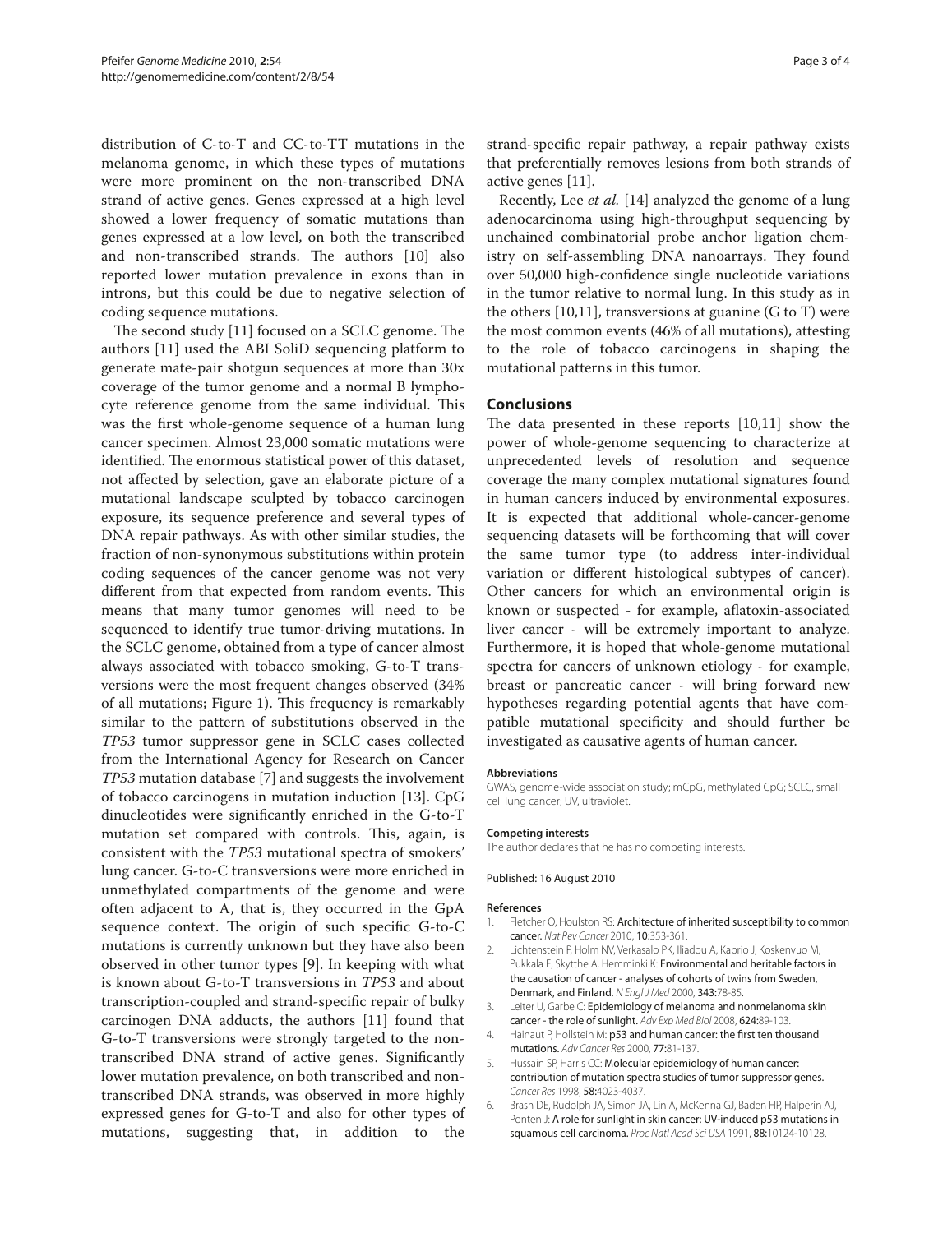distribution of C-to-T and CC-to-TT mutations in the melanoma genome, in which these types of mutations were more prominent on the non-transcribed DNA strand of active genes. Genes expressed at a high level showed a lower frequency of somatic mutations than genes expressed at a low level, on both the transcribed and non-transcribed strands. The authors [10] also reported lower mutation prevalence in exons than in introns, but this could be due to negative selection of coding sequence mutations.

The second study [11] focused on a SCLC genome. The authors [11] used the ABI SoliD sequencing platform to generate mate-pair shotgun sequences at more than 30x coverage of the tumor genome and a normal B lymphocyte reference genome from the same individual. This was the first whole-genome sequence of a human lung cancer specimen. Almost 23,000 somatic mutations were identified. The enormous statistical power of this dataset, not affected by selection, gave an elaborate picture of a mutational landscape sculpted by tobacco carcinogen exposure, its sequence preference and several types of DNA repair pathways. As with other similar studies, the fraction of non-synonymous substitutions within protein coding sequences of the cancer genome was not very different from that expected from random events. This means that many tumor genomes will need to be sequenced to identify true tumor-driving mutations. In the SCLC genome, obtained from a type of cancer almost always associated with tobacco smoking, G-to-T transversions were the most frequent changes observed (34% of all mutations; Figure 1). This frequency is remarkably similar to the pattern of substitutions observed in the *TP53* tumor suppressor gene in SCLC cases collected from the International Agency for Research on Cancer *TP53* mutation database [7] and suggests the involvement of tobacco carcinogens in mutation induction [13]. CpG dinucleotides were significantly enriched in the G-to-T mutation set compared with controls. This, again, is consistent with the *TP53* mutational spectra of smokers' lung cancer. G-to-C transversions were more enriched in unmethylated compartments of the genome and were often adjacent to A, that is, they occurred in the GpA sequence context. The origin of such specific G-to-C mutations is currently unknown but they have also been observed in other tumor types [9]. In keeping with what is known about G-to-T transversions in *TP53* and about transcription-coupled and strand-specific repair of bulky carcinogen DNA adducts, the authors [11] found that G-to-T transversions were strongly targeted to the nontranscribed DNA strand of active genes. Significantly lower mutation prevalence, on both transcribed and nontranscribed DNA strands, was observed in more highly expressed genes for G-to-T and also for other types of mutations, suggesting that, in addition to the strand-specific repair pathway, a repair pathway exists that preferentially removes lesions from both strands of active genes [11].

Recently, Lee *et al.* [14] analyzed the genome of a lung adenocarcinoma using high-throughput sequencing by unchained combinatorial probe anchor ligation chemistry on self-assembling DNA nanoarrays. They found over 50,000 high-confidence single nucleotide variations in the tumor relative to normal lung. In this study as in the others  $[10,11]$ , transversions at guanine  $(G \text{ to } T)$  were the most common events (46% of all mutations), attesting to the role of tobacco carcinogens in shaping the mutational patterns in this tumor.

### **Conclusions**

The data presented in these reports [10,11] show the power of whole-genome sequencing to characterize at unprecedented levels of resolution and sequence coverage the many complex mutational signatures found in human cancers induced by environmental exposures. It is expected that additional whole-cancer-genome sequencing datasets will be forthcoming that will cover the same tumor type (to address inter-individual variation or different histological subtypes of cancer). Other cancers for which an environmental origin is known or suspected - for example, aflatoxin-associated liver cancer - will be extremely important to analyze. Furthermore, it is hoped that whole-genome mutational spectra for cancers of unknown etiology - for example, breast or pancreatic cancer - will bring forward new hypotheses regarding potential agents that have compatible mutational specificity and should further be investigated as causative agents of human cancer.

#### **Abbreviations**

GWAS, genome-wide association study; mCpG, methylated CpG; SCLC, small cell lung cancer; UV, ultraviolet.

#### **Competing interests**

The author declares that he has no competing interests.

#### Published: 16 August 2010

#### **References**

- 1. Fletcher O, Houlston RS: Architecture of inherited susceptibility to common cancer. *Nat Rev Cancer* 2010, 10:353-361.
- 2. Lichtenstein P, Holm NV, Verkasalo PK, Iliadou A, Kaprio J, Koskenvuo M, Pukkala E, Skytthe A, Hemminki K: Environmental and heritable factors in the causation of cancer - analyses of cohorts of twins from Sweden, Denmark, and Finland. *N Engl J Med* 2000, 343:78-85.
- 3. Leiter U, Garbe C: Epidemiology of melanoma and nonmelanoma skin cancer - the role of sunlight. *Adv Exp Med Biol* 2008, 624:89-103.
- 4. Hainaut P, Hollstein M: p53 and human cancer: the first ten thousand mutations. *Adv Cancer Res* 2000, 77:81-137.
- 5. Hussain SP, Harris CC: Molecular epidemiology of human cancer: contribution of mutation spectra studies of tumor suppressor genes. *Cancer Res* 1998, 58:4023-4037.
- 6. Brash DE, Rudolph JA, Simon JA, Lin A, McKenna GJ, Baden HP, Halperin AJ, Ponten J: A role for sunlight in skin cancer: UV-induced p53 mutations in squamous cell carcinoma. *Proc Natl Acad Sci USA* 1991, 88:10124-10128.